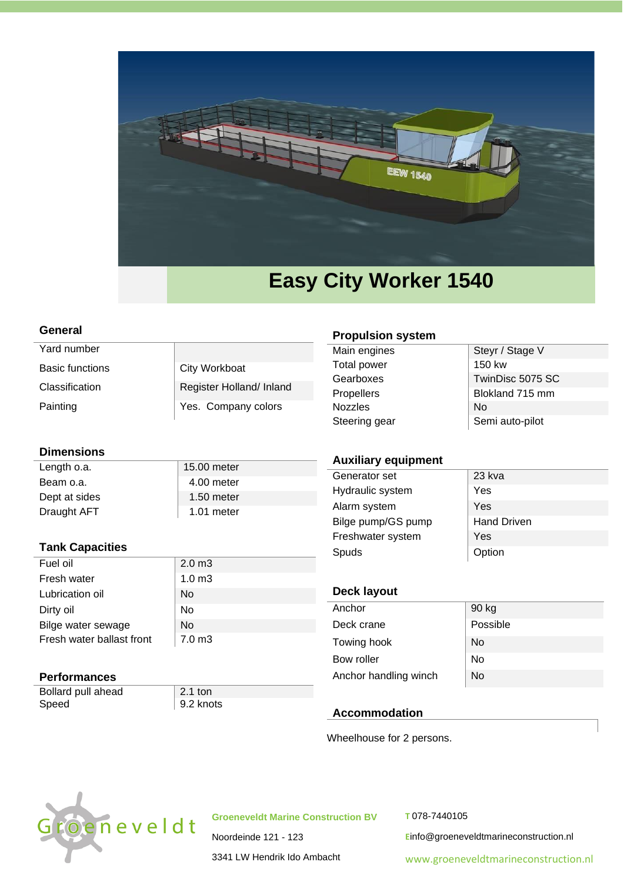

#### **General**

| Yard number            |                          | Main engines                   |
|------------------------|--------------------------|--------------------------------|
| <b>Basic functions</b> | City Workboat            | Total power<br>Gearboxes       |
| Classification         | Register Holland/ Inland | Propellers                     |
| Painting               | Yes. Company colors      | <b>Nozzles</b><br>$Omega = -1$ |

## **Dimensions**

Length o.a. 15.00 meter Beam o.a. 200 meter Dept at sides 1.50 meter Draught AFT 1.01 meter

# **Tank Capacities**

| Fuel oil                  | 2.0 <sub>m3</sub> |
|---------------------------|-------------------|
| Fresh water               | 1.0 <sub>m3</sub> |
| Lubrication oil           | No                |
| Dirty oil                 | No                |
| Bilge water sewage        | No                |
| Fresh water ballast front | 7.0 <sub>m3</sub> |

## **Performances**

Bollard pull ahead 2.1 ton Speed 9.2 knots

#### **Propulsion system**

| Steyr / Stage V  |
|------------------|
| 150 kw           |
| TwinDisc 5075 SC |
| Blokland 715 mm  |
| No               |
| Semi auto-pilot  |
|                  |

## **Auxiliary equipment**

| Generator set      | 23 kva             |
|--------------------|--------------------|
| Hydraulic system   | Yes                |
| Alarm system       | Yes                |
| Bilge pump/GS pump | <b>Hand Driven</b> |
| Freshwater system  | Yes                |
| Spuds              | Option             |

# **Deck layout**

| Anchor                | 90 kg    |
|-----------------------|----------|
| Deck crane            | Possible |
| Towing hook           | No       |
| Bow roller            | No       |
| Anchor handling winch | No       |

## **Accommodation**

Wheelhouse for 2 persons.



**Groeneveldt Marine Construction BV**

Noordeinde 121 - 123 3341 LW Hendrik Ido Ambacht **T** 078-7440105

**E**info@groeneveldtmarineconstruction.nl

[www.groeneveldtmarineconstruction.nl](http://www.groeneveldtmarineconstruction.nl/)